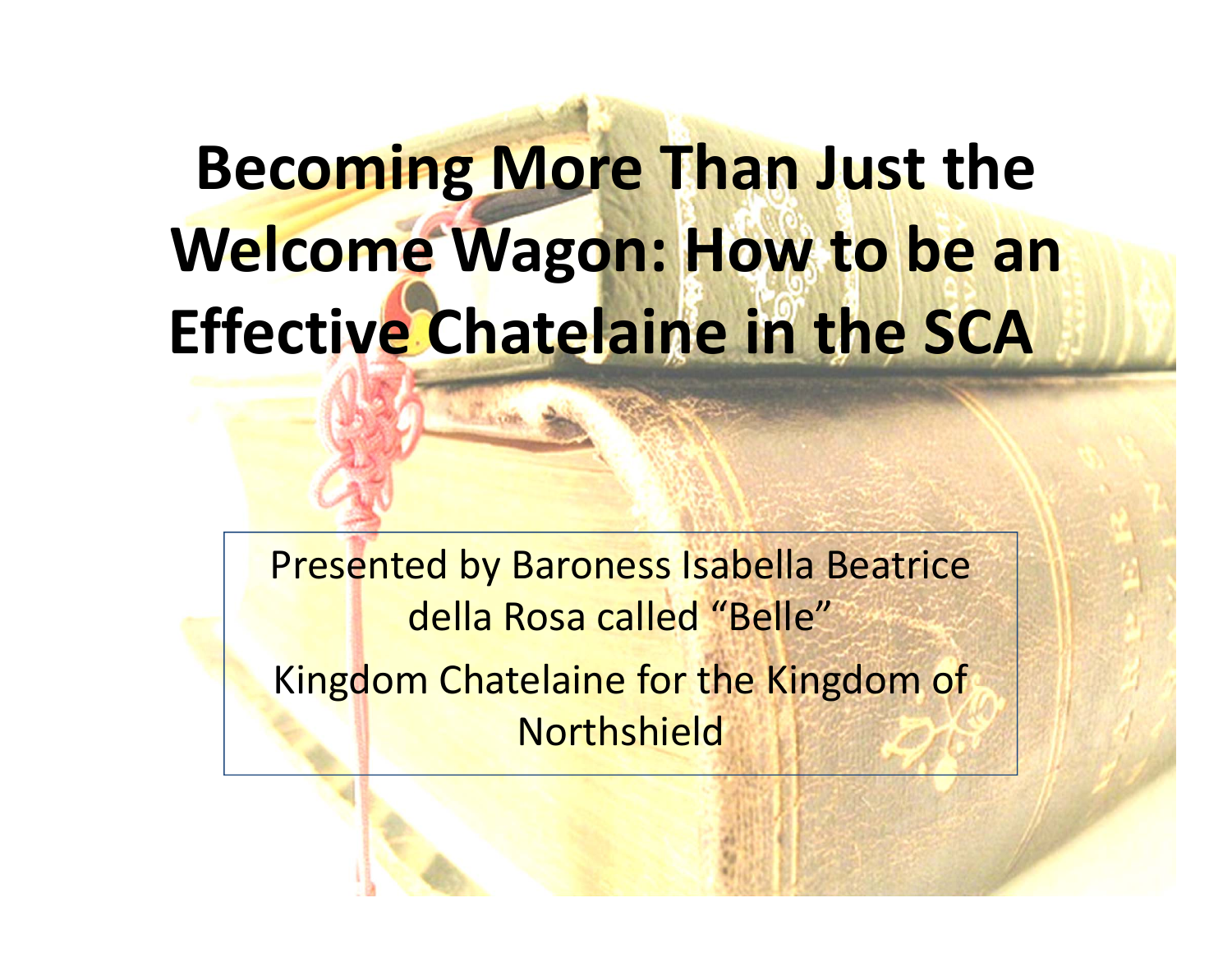# **Becoming More Than Just the Welcome Wagon: How to be an Effective Chatelaine in the SCA**

Presented by Baroness Isabella Beatrice della Rosa called "Belle" Kingdom Chatelaine for the Kingdom of Northshield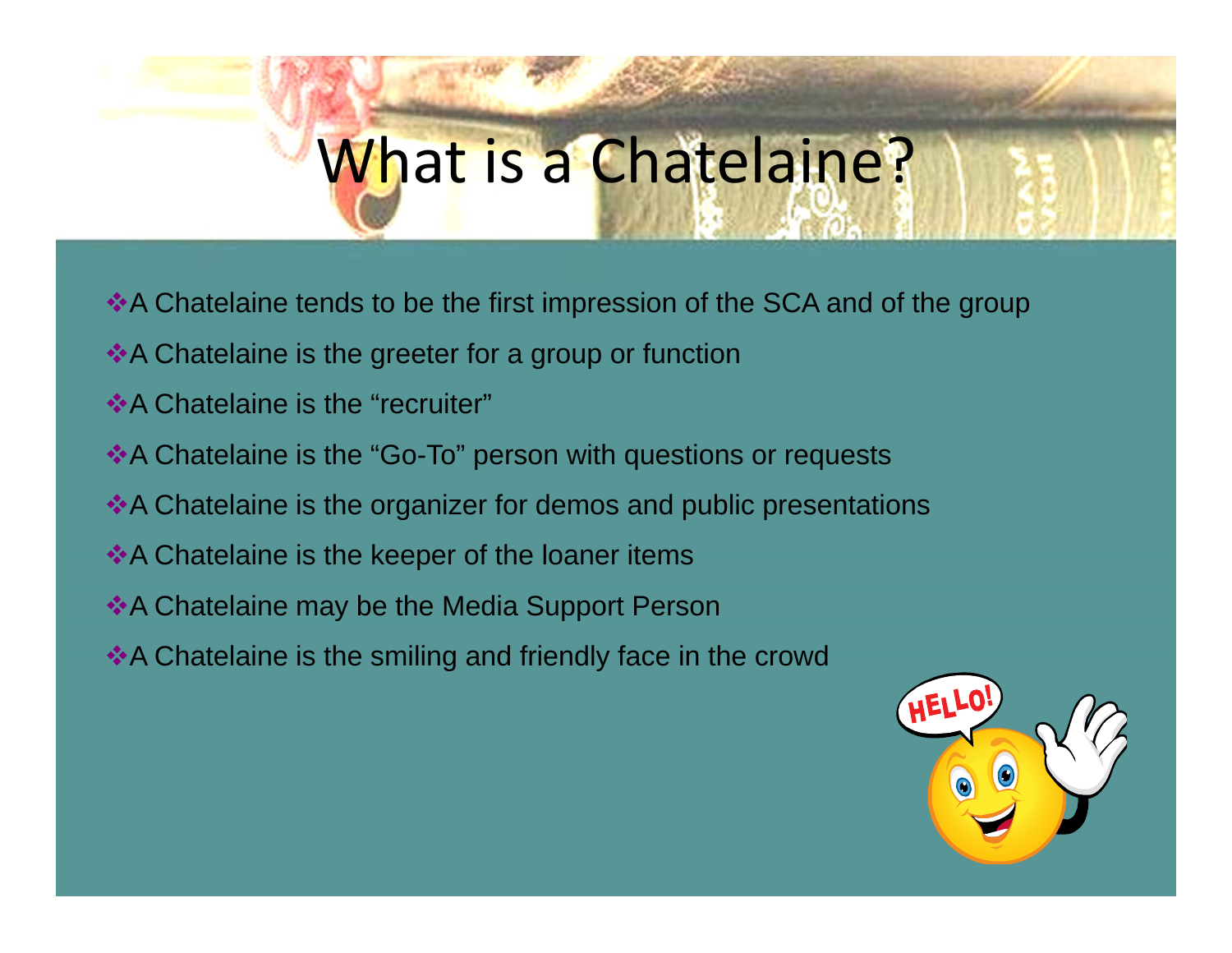# What is a Chatelaine?

- A Chatelaine tends to be the first impression of the SCA and of the group
- ◆A Chatelaine is the greeter for a group or function
- **◆A Chatelaine is the "recruiter"**
- ◆ A Chatelaine is the "Go-To" person with questions or requests
- \*A Chatelaine is the organizer for demos and public presentations
- $\triangle$  A Chatelaine is the keeper of the loaner items
- **◆A Chatelaine may be the Media Support Person**
- ◆ A Chatelaine is the smiling and friendly face in the crowd

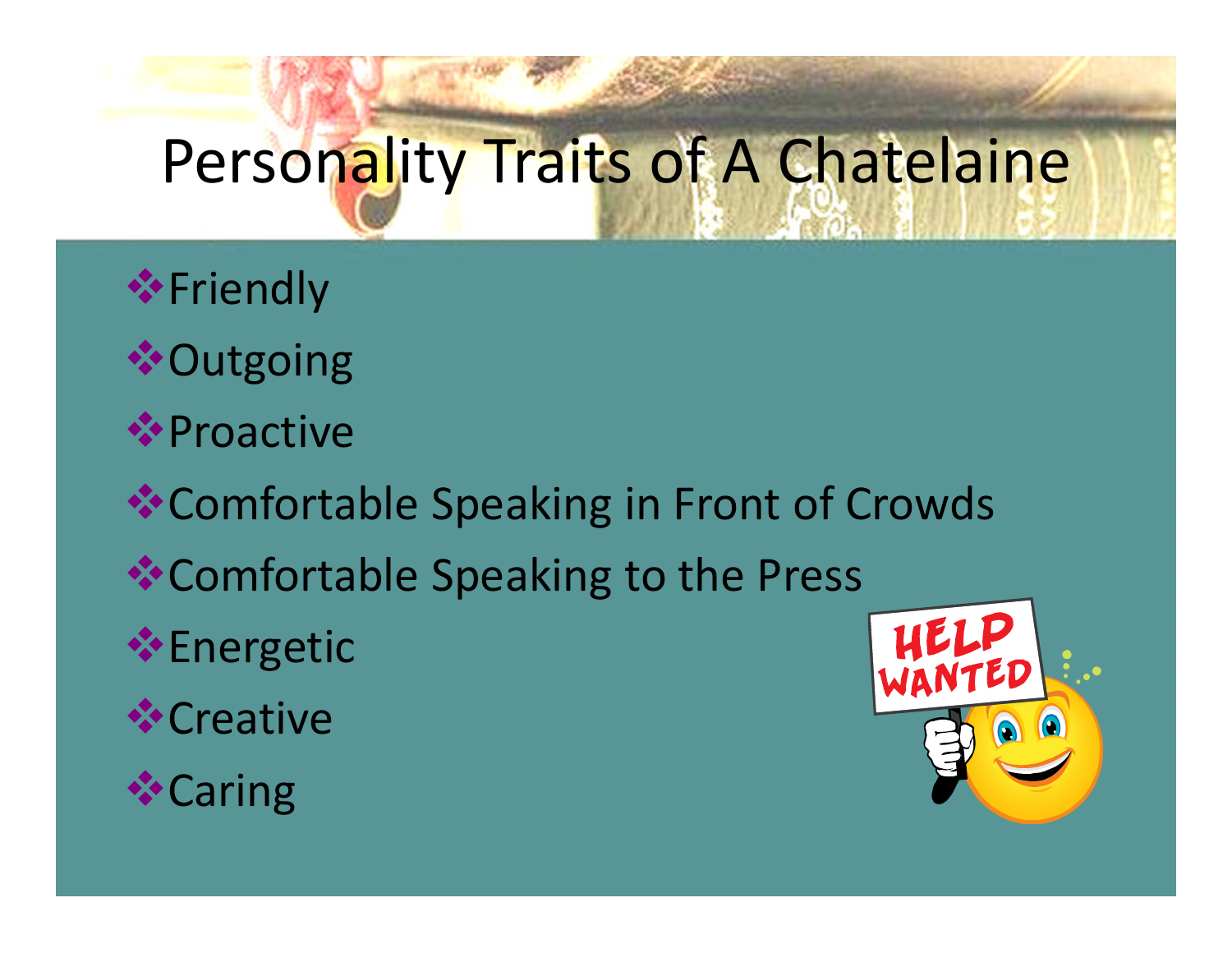# Personality Traits of A Chatelaine

 Friendly **❖ Outgoing <sup>◆</sup>Proactive** Comfortable Speaking in Front of Crowds Comfortable Speaking to the Press **Energetic ☆**Creative **☆Caring**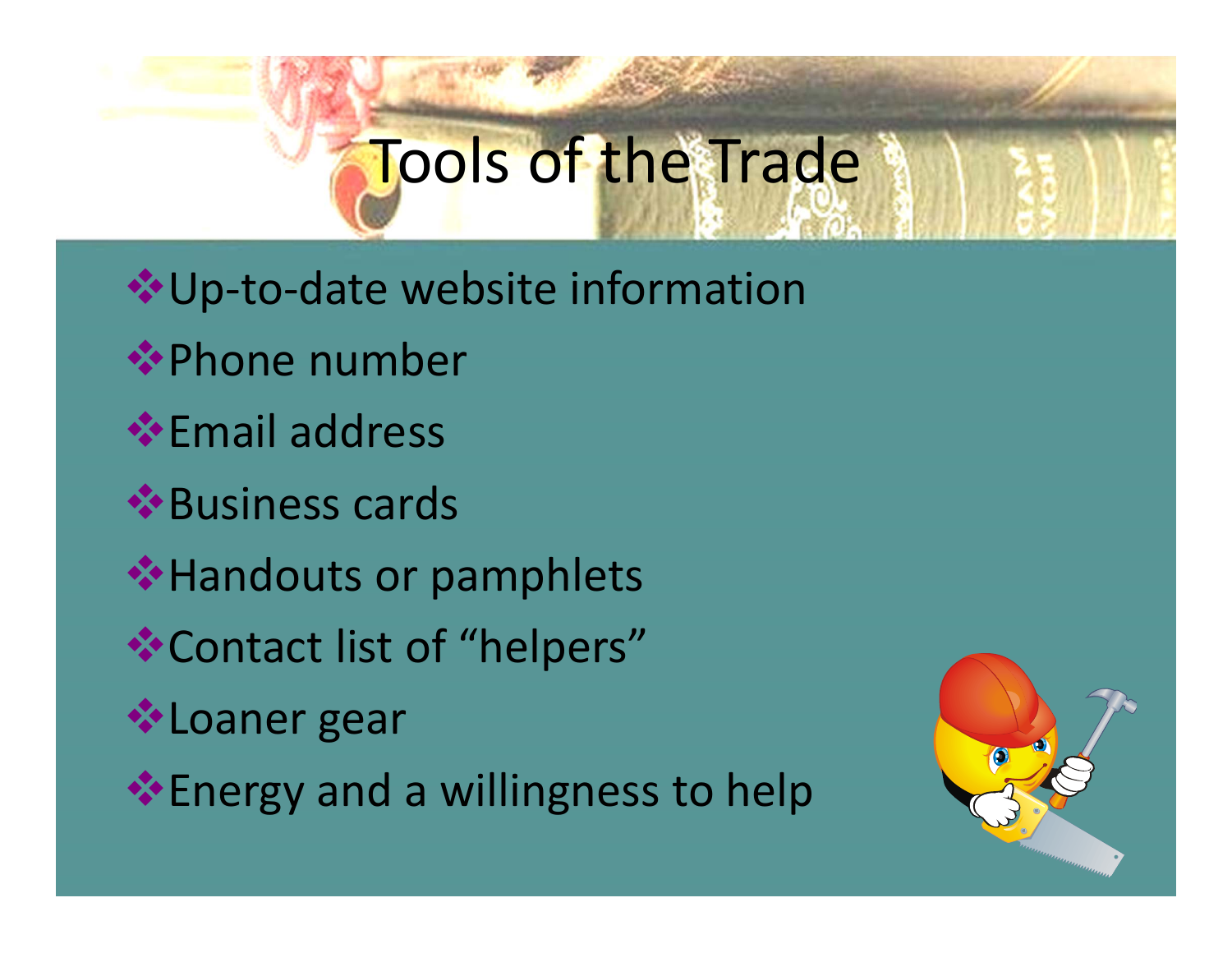# Tools of the Trade

Up‐to‐date website information **<sup>◆</sup>Phone number Email address** Business cards **◆ Handouts or pamphlets** Contact list of "helpers" **<sup>❖</sup>Loaner gear Energy and a willingness to help** 

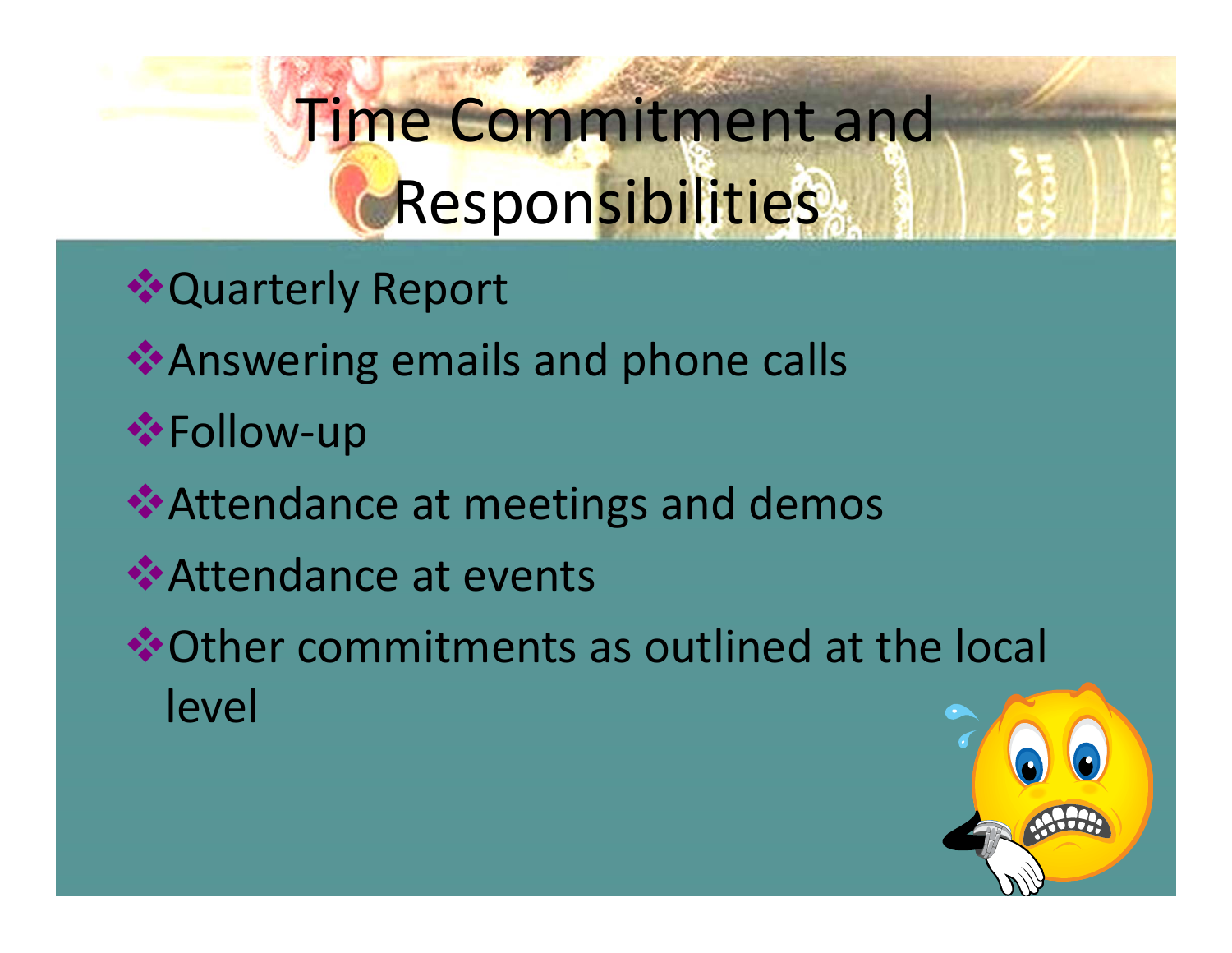# Time Commitment and Responsibilities

- **❖ Quarterly Report**
- **★Answering emails and phone calls**
- **\***Follow-up
- Attendance at meetings and demos
- Attendance at events
- Other commitments as outlined at the local level

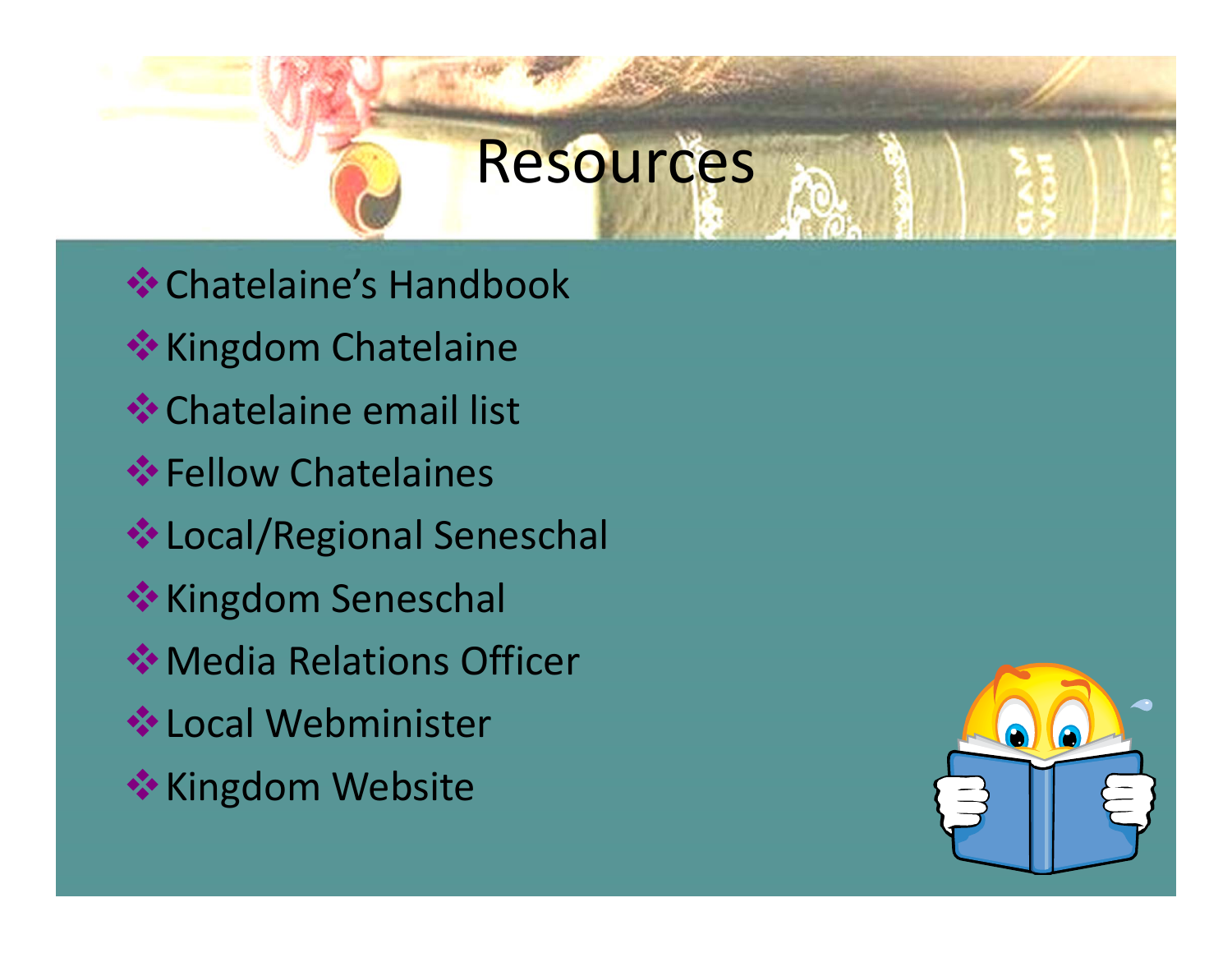### Resources

**<sup>◆</sup> Chatelaine's Handbook \*** Kingdom Chatelaine **<sup>◆</sup>Chatelaine email list**  $\div$  **Fellow Chatelaines** Local/Regional Seneschal **\*\*** Kingdom Seneschal **◆ Media Relations Officer ❖ Local Webminister \*\* Kingdom Website** 

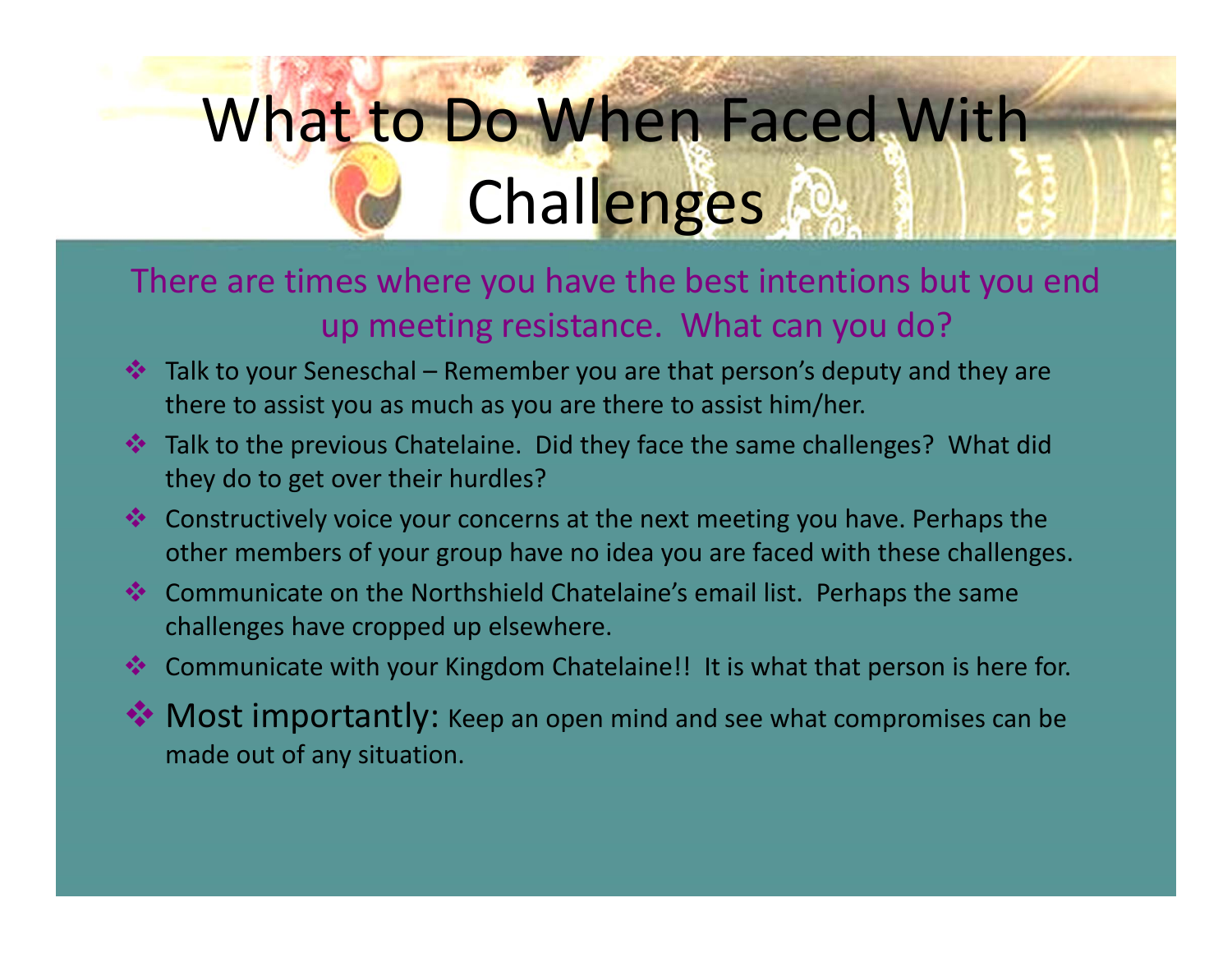# What to Do When Faced With **Challenges**

#### There are times where you have the best intentions but you end up meeting resistance. What can you do?

- $\clubsuit$  Talk to your Seneschal Remember you are that person's deputy and they are there to assist you as much as you are there to assist him/her.
- ◆ Talk to the previous Chatelaine. Did they face the same challenges? What did they do to get over their hurdles?
- ◆ Constructively voice your concerns at the next meeting you have. Perhaps the other members of your group have no idea you are faced with these challenges.
- ◆ Communicate on the Northshield Chatelaine's email list. Perhaps the same challenges have cropped up elsewhere.
- **Communicate with your Kingdom Chatelaine!! It is what that person is here for.**
- $\clubsuit$  Most importantly: Keep an open mind and see what compromises can be made out of any situation.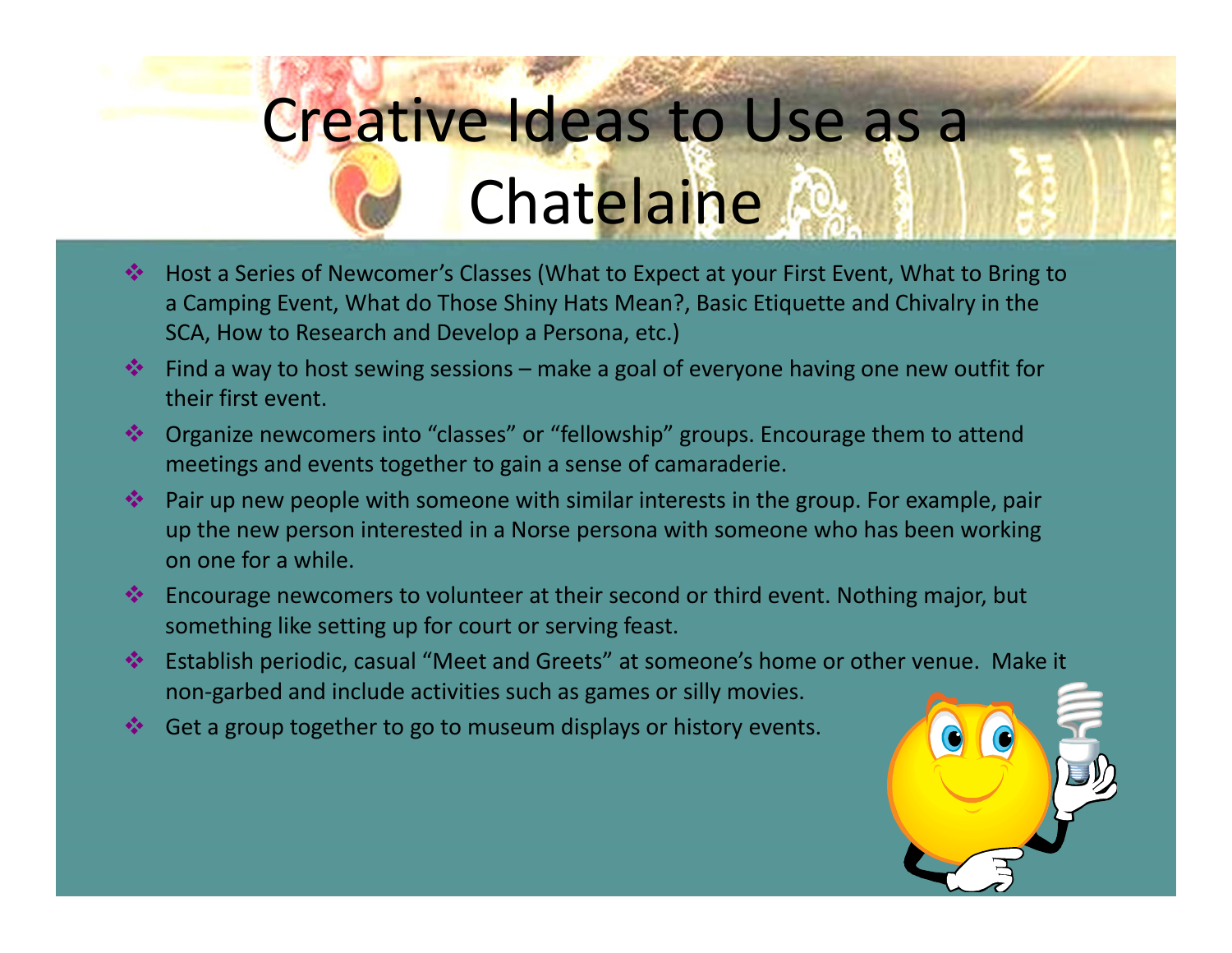# Creative Ideas to Use as a **Chatelaine**

- 修理 Host <sup>a</sup> Series of Newcomer's Classes (What to Expect at your First Event, What to Bring to a Camping Event, What do Those Shiny Hats Mean?, Basic Etiquette and Chivalry in the SCA, How to Research and Develop <sup>a</sup> Persona, etc.)
- $\clubsuit$  Find a way to host sewing sessions make a goal of everyone having one new outfit for their first event.
- **\*** Organize newcomers into "classes" or "fellowship" groups. Encourage them to attend meetings and events together to gain <sup>a</sup> sense of camaraderie.
- **\*** Pair up new people with someone with similar interests in the group. For example, pair up the new person interested in <sup>a</sup> Norse persona with someone who has been working on one for <sup>a</sup> while.
- **Encourage newcomers to volunteer at their second or third event. Nothing major, but** something like setting up for court or serving feast.
- Establish periodic, casual "Meet and Greets" at someone's home or other venue. Make it non‐garbed and include activities such as games or silly movies.
- Get a group together to go to museum displays or history events.